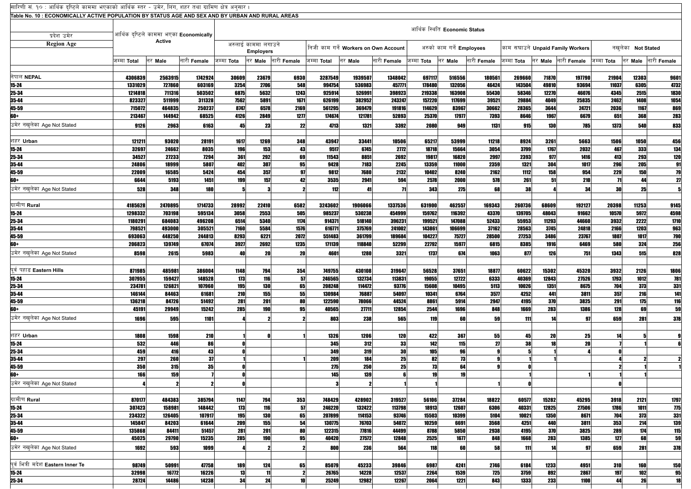| सारिणी सं. १० : आर्थिक दृष्टिले काममा भएकाको आर्थिक स्तर - उमेर, लिंग, शहर तथा ग्रामिण क्षेत्र अनुसार । |                    |                  |                                         |                                         |               |              |                                       |                   |                  |                               |                  |                                  |                   |                |                    |                   |               |              |
|---------------------------------------------------------------------------------------------------------|--------------------|------------------|-----------------------------------------|-----------------------------------------|---------------|--------------|---------------------------------------|-------------------|------------------|-------------------------------|------------------|----------------------------------|-------------------|----------------|--------------------|-------------------|---------------|--------------|
| Table No. 10 : ECONOMICALLY ACTIVE POPULATION BY STATUS AGE AND SEX AND BY URBAN AND RURAL AREAS        |                    |                  |                                         |                                         |               |              |                                       |                   |                  |                               |                  |                                  |                   |                |                    |                   |               |              |
|                                                                                                         |                    |                  |                                         |                                         |               |              |                                       |                   |                  | आर्थिक स्थिति Economic Status |                  |                                  |                   |                |                    |                   |               |              |
| प्रदेश उमेर                                                                                             |                    | <b>Active</b>    | आर्थिक दृष्टिले काममा भएका Economically |                                         |               |              |                                       |                   |                  |                               |                  |                                  |                   |                |                    |                   |               |              |
| <b>Region Age</b>                                                                                       |                    |                  |                                         | अरुलाई काममा लगाउने<br><b>Employers</b> |               |              | निजी काम गर्ने Workers on Own Account |                   |                  | अरुको काम गर्ने Employees     |                  | काम सघाउने Unpaid Family Workers |                   |                |                    | नखलेका Not Stated |               |              |
|                                                                                                         | जम्मा Total        | नर Male          | नारी Female                             | जम्मा <b>Tota</b>                       | नर Male       | नारी Female  | जम्मा <b>Total</b>                    | नर <b>Male</b>    | नारी Female      | जम्मा <b>Tota</b>             | नर Male          | नारी Female                      | जम्मा <b>Tota</b> | नर Male        | नारी <b>Female</b> | जम्मा <b>Tota</b> | नर Male       | नारी Female  |
|                                                                                                         |                    |                  |                                         |                                         |               |              |                                       |                   |                  |                               |                  |                                  |                   |                |                    |                   |               |              |
| नेपाल NEPAL                                                                                             | 4306839<br>1331029 | 2563915          | 1742924<br>603169                       | 30609                                   | 23679<br>2706 | 6930         | 3287549<br>994754                     | 1939507<br>536983 | 1348042          | 697117                        | 516556<br>132056 | 180561                           | 269660            | 71870          | 197790<br>93694    | 21904<br>11037    | 12303<br>6305 | 9601<br>4732 |
| $15 - 24$<br>25-34                                                                                      | 1214818            | 727860<br>711316 | 503502                                  | 3254<br>6875                            | 5632          | 548<br>1243  | 925914                                | 526991            | 457771<br>398923 | 178480<br>219338              | 163908           | 46424<br>55430                   | 143504<br>58346   | 49810<br>12270 | 46076              | 4345              | 2515          | 1830         |
| 35-44                                                                                                   | 823327             | 511999           | 311328                                  | 7562                                    | 5891          | 1671         | 626199                                | 382952            | 243247           | 157220                        | 117699           | 39521                            | 29884             | 4049           | 25835              | 2462              | 1408          | 1054         |
| 45-59                                                                                                   | 715072             | 464835           | 250237                                  | 8747                                    | 6578          | 2169         | 561295                                | 369479            | 191816           | 114629                        | 83967            | 30662                            | 28365             | 3644           | 24721              | 2036              | 1167          | 869          |
| 60+                                                                                                     | 213467             | 144942           | 68525                                   | 4126                                    | 2849          | 1277         | 174674                                | 121781            | 52893            | 25370                         | 17977            | 7393                             | 8646              | 1967           | 6679               | 651               | 368           | 283          |
| उमेर नखलेका Age Not Stated                                                                              | 9126               | 2963             | 6163                                    | 45                                      | 23            | 22           | 4713                                  | 1321              | 3392             | 2080                          | 949              | 1131                             | 915               | <b>130</b>     | <b>785</b>         | <b>1373</b>       | 540           | 833          |
| शहर Urban                                                                                               | 121211             | 93020            | 28191                                   | 1617                                    | 1269          | 348          | 43947                                 | 33441             | 10506            | 65217                         | 53999            | 11218                            | 8924              | 3261           | 5663               | 1506              | 1050          | 456          |
| $15 - 24$                                                                                               | 32697              | 24662            | 8035                                    | 196                                     | 153           | 43           | 9517                                  | 6745              | 2772             | 18718                         | 15664            | 3054                             | 3799              | 1767           | 2032               | 467               | 333           | 134          |
| 25-34                                                                                                   | 34527              | 27233            | 7294                                    | 361                                     | 292           | 69           | 11543                                 | 8851              | 2692             | 19817                         | 16820            | 2997                             | 2393              | 977            | 1416               | 413               | 293           | <b>120</b>   |
| 35-44                                                                                                   | 24806              | 18999            | 5807                                    | 402                                     | 307           | 95           | 9428                                  | 7183              | 2245             | 13359                         | 11000            | 2359                             | 1321              | 304            | 1017               | 296               | 205           | 91           |
| 45-59                                                                                                   | 22009              | 16585            | 5424                                    | 454                                     | 357           | 97           | 9812                                  | 7680              | 2132             | 10402                         | 8240             | 2162                             | 1112              | 158            | 954                | 229               | 150           | 79           |
| 60+                                                                                                     | 6644               | 5193             | 1451                                    | 199                                     | 157           | 42           | 3535                                  | 2941              | 594              | 2578                          | 2000             | 578                              | 261               | 51             | 210                | $\overline{11}$   | 44            | 27           |
| उमेर नखलेका Age Not Stated                                                                              | 528                | 348              | <b>180</b>                              |                                         |               |              | 112                                   | 41                | 71               | 343                           | 275              | 68                               | 38                |                | 34                 | <b>30</b>         | 25            |              |
| ग्रामीण Rural                                                                                           | 4185628            | 2470895          | 1714733                                 | 28992                                   | 22410         | 6582         | 3243602                               | 1906066           | 1337536          | 631900                        | 462557           | 169343                           | 260736            | 68609          | 192127             | 20398             | 11253         | 9145         |
| $15 - 24$                                                                                               | 1298332            | 703198           | 595134                                  | 3058                                    | 2553          | 505          | 985237                                | 530238            | 454999           | 159762                        | 116392           | 43370                            | 139705            | 48043          | 91662              | 10570             | 5972          | 4598         |
| 25-34                                                                                                   | 1180291            | 684083           | 496208                                  | 6514                                    | 5340          | 1174         | 914371                                | 518140            | 396231           | 199521                        | 147088           | 52433                            | 55953             | 11293          | 44660              | 3932              | 2222          | 1710         |
| 35-44                                                                                                   | 798521             | 493000           | 305521                                  | 7160                                    | 5584          | 1576         | 616771                                | 375769            | 241002           | 143861                        | 106699           | 37162                            | 28563             | 3745           | 24818              | 2166              | 1203          | 963          |
| 45-59<br>60+                                                                                            | 693063<br>206823   | 448250<br>139749 | 244813<br>67074                         | 8293<br>3927                            | 6221<br>2692  | 2072<br>1235 | 551483<br>171139                      | 361799<br>118840  | 189684<br>52299  | 104227<br>22792               | 75727<br>15977   | 28500<br>6815                    | 27253<br>8385     | 3486<br>1916   | 23767<br>6469      | 1807<br>580       | 1017<br>324   | 790<br>256   |
| उमेर नखलेका Age Not Stated                                                                              | 8598               | 2615             | 5983                                    | 40                                      | 20            | <b>20</b>    | 4601                                  | 1280              | 3321             | 1737                          | 674              | 1063                             | 877               | 126            | 751                | 1343              | 515           | 828          |
|                                                                                                         |                    |                  |                                         |                                         |               |              |                                       |                   |                  |                               |                  |                                  |                   |                |                    |                   |               |              |
| पुर्व पहाड Eastern Hills                                                                                | 871985             | 485981           | 386004                                  | 1148                                    | 794           | 354          | 749755                                | 430108            | 319647           | 56528                         | 37651            | 18877                            | 60622             | 15302          | 45320              | 3932              | 2126          | 1806         |
| $15 - 24$                                                                                               | 307955             | 159427           | 148528                                  | 173                                     | 116           | 57           | 246565                                | 132734            | 113831           | 19055                         | 12722            | 6333                             | 40369             | 12843          | 27526              | 1793              | 1012          | 781          |
| 25-34                                                                                                   | 234781             | 126821           | 107960                                  | 195                                     | <b>130</b>    | 65           | 208248                                | 114472            | 93776            | 15608                         | 10495            | 5113                             | 10026             | 1351           | 8675               | 704               | 373           | 331          |
| 35-44<br>45-59                                                                                          | 146144<br>136218   | 84463<br>84726   | 61681<br>51492                          | 210<br>281                              | 155<br>201    | 55<br>80     | 130984<br>122590                      | 76887<br>78066    | 54097<br>44524   | 10341<br>8861                 | 6764<br>5914     | 3577<br>2947                     | 4252<br>4195      | 441<br>370     | 3811<br>3825       | 357<br>291        | 216<br>175    | 141<br>116   |
| 60+                                                                                                     | 45191              | 29949            | 15242                                   | 285                                     | <b>190</b>    | 95           | 40565                                 | 27711             | 12854            | 2544                          | 1696             | 848                              | 1669              | 283            | 1386               | 128               | 69            | 59           |
| उमेर नखलेका Age Not Stated                                                                              | 1696               | 595              | 1101                                    |                                         |               |              | 803                                   | 238               | 565              | 119                           | 60               | 59                               | 111               | 14             | 97                 | 659               | 281           | 378          |
|                                                                                                         |                    |                  |                                         |                                         |               |              |                                       |                   |                  |                               |                  |                                  |                   |                |                    |                   |               |              |
| शहर Urban                                                                                               | 1808               | 1598             | 210                                     |                                         |               |              | 1326                                  | 1206              | <b>120</b>       | 422                           | <b>367</b>       | 55                               | 45                | 20             | 25                 |                   |               |              |
| $15 - 24$                                                                                               | 532                | 446              | 86                                      |                                         |               |              | 345                                   | 312               | 33               | 142                           | 115              | 27                               | 38                | 18             | 20                 |                   |               |              |
| 25-34<br>35-44                                                                                          | 459<br>297         | 416<br>260       | 43<br>37                                |                                         |               |              | 349<br>209                            | 319<br>184        | 30<br>25         | 105<br>82                     | 96<br>73         |                                  |                   |                |                    |                   |               |              |
| 45-59                                                                                                   | 350                | 315              | 35 <sup>1</sup>                         |                                         |               |              | 275                                   | 250               | 25               | 73                            | 64               |                                  |                   |                |                    |                   |               |              |
| 60+                                                                                                     | 166                | <b>159</b>       |                                         |                                         |               |              | 145                                   | 139               |                  | 19                            | 19               |                                  |                   |                |                    |                   |               |              |
| उमेर नखलेका Age Not Stated                                                                              |                    |                  |                                         |                                         |               |              |                                       |                   |                  |                               |                  |                                  |                   |                |                    |                   |               |              |
| ग्रामीण Rural                                                                                           | 870177             | 484383           | 385794                                  | 1147                                    | 794           | 353          | 748429                                | 428902            | 319527           | 56106                         | 37284            | 18822                            | 60577             | 15282          | 45295              | 3918              | 2121          | 1797         |
| $15 - 24$                                                                                               | 307423             | 158981           | 148442                                  | 173                                     | 116           | 57           | 246220                                | 132422            | 113798           | 18913                         | 12607            | 6306                             | 40331             | 12825          | 27506              | 1786              | 1011          | 775          |
| 25-34                                                                                                   | 234322             | 126405           | 107917                                  | 195                                     | 130           | 65           | 207899                                | 114153            | 93746            | 15503                         | 10399            | 5104                             | 10021             | 1350           | 8671               | 704               | 373           | 331          |
| 35-44                                                                                                   | 145847             | 84203            | 61644                                   | 209                                     | 155           | 54           | 130775                                | 76703             | 54072            | 10259                         | 6691             | 3568                             | 4251              | 440            | 3811               | 353               | 214           | 139          |
| 45-59                                                                                                   | 135868             | 84411            | 51457                                   | 281                                     | 201           | 80           | 122315                                | 77816             | 44499            | 8788                          | 5850             | 2938                             | 4195              | 370            | 3825               | 289               | 174           | 115          |
| 60+                                                                                                     | 45025              | 29790            | 15235                                   | 285                                     | <b>190</b>    | 95           | 40420                                 | 27572             | 12848            | 2525                          | 1677             | 848                              | 1668              | 283            | 1385               | 127               | 68            | 59           |
| उमेर नखलेका Age Not Stated                                                                              | 1692               | 593              | 1099                                    |                                         |               |              | 800                                   | 236               | 564              | 118                           | 60               | 58                               | 111               | 14             | 97                 | 659               | 281           | 378          |
| पर्व भित्री मदेश Eastern Inner Te                                                                       | 98749              | 50991            | 47758                                   | 189                                     | 124           | 65           | 85079                                 | 45233             | 39846            | 6987                          | 4241             | 2746                             | 6184              | 1233           | 4951               | 310               | 160           | <b>150</b>   |
| $15 - 24$                                                                                               | 32998              | 16772            | 16226                                   | 13                                      | 11            |              | 26765                                 | 14228             | 12537            | 2264                          | 1539             | 725                              | 3759              | 892            | 2867               | 197               | 102           | 95           |
| 25-34                                                                                                   | 28724              | 14486            | 14238                                   | 34                                      | 24            | 10           | 25249                                 | 12982             | 12267            | 2064                          | 1221             | 843                              | 1333              | 233            | 1100               | 44                | 26            | 18           |
|                                                                                                         |                    |                  |                                         |                                         |               |              |                                       |                   |                  |                               |                  |                                  |                   |                |                    |                   |               |              |

 $\overline{\phantom{0}}$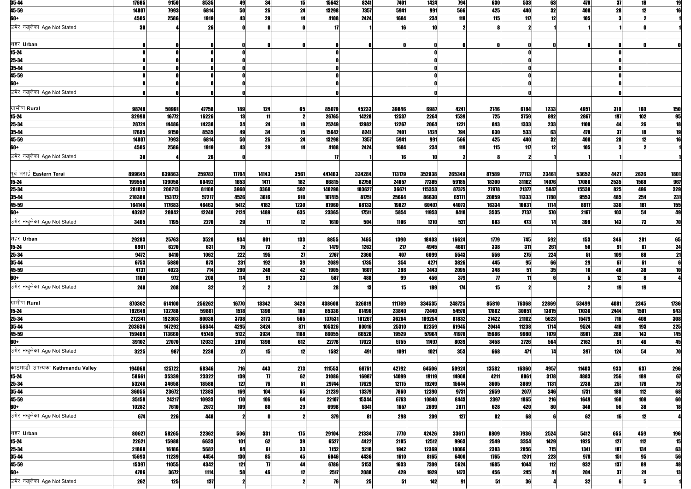| 35-44                             | 17685  | 9150   | 8535        | 49         | 34                  | 15         | 15642  | 8241   | <b>7401</b> | 1424            | <b>794</b>  | 630                 | 533             | 63    | 470   | 37         | 18   | 19         |
|-----------------------------------|--------|--------|-------------|------------|---------------------|------------|--------|--------|-------------|-----------------|-------------|---------------------|-----------------|-------|-------|------------|------|------------|
| 45-59                             | 14807  | 7993   | 6814        | <b>50</b>  | 26                  | 24         | 13298  | 7357   | 5941        | 991             | 566         | 425                 | 440             | 32    | 408   | 28         | 12   | 16         |
| 60+                               | 4505   | 2586   | 1919        | 43         | 29                  | 14         | 4108   | 2424   | 1684        | 234             | 119         | 115                 | 117             | 12    | 105   |            |      |            |
|                                   |        |        |             |            |                     |            |        |        |             |                 |             |                     |                 |       |       |            |      |            |
| उमेर नखुलेका Age Not Stated       | 30     |        | 26          |            |                     |            | 17     |        |             | 10              |             |                     |                 |       |       |            |      |            |
|                                   |        |        |             |            |                     |            |        |        |             |                 |             |                     |                 |       |       |            |      |            |
| शहर Urban                         |        |        |             |            |                     | n          |        |        |             |                 |             |                     |                 |       |       |            |      |            |
| $15 - 24$                         |        |        |             |            |                     |            |        |        |             |                 |             |                     |                 |       |       |            |      |            |
| 25-34                             |        |        |             |            |                     |            |        |        |             |                 |             |                     |                 |       |       |            |      |            |
| 35-44                             |        |        |             |            |                     |            |        |        |             |                 |             |                     |                 |       |       |            |      |            |
| 45-59                             |        |        |             |            |                     |            |        |        |             |                 |             |                     |                 |       |       |            |      |            |
| 60+                               |        |        |             |            |                     |            |        |        |             |                 |             |                     |                 |       |       |            |      |            |
|                                   |        |        |             |            |                     |            |        |        |             |                 |             |                     |                 |       |       |            |      |            |
| उमेर नखलेका Age Not Stated        |        |        |             |            |                     |            |        |        |             |                 |             |                     |                 |       |       |            |      |            |
|                                   |        |        |             |            |                     |            |        |        |             |                 |             |                     |                 |       |       |            |      |            |
| ग्रामीण Rural                     | 98749  | 50991  | 47758       | 189        | 124                 | 65         | 85079  | 45233  | 39846       | 6987            | 4241        | 2746                | 6184            | 1233  | 4951  | 310        | 160  | 150        |
| 15-24                             | 32998  | 16772  | 16226       | 13         | 11                  | -2         | 26765  | 14228  | 12537       | 2264            | 1539        | <b>725</b>          | 3759            | 892   | 2867  | 197        | 102  | 95         |
| 25-34                             | 28724  | 14486  | 14238       | 34         | 24                  | 10         | 25249  | 12982  | 12267       | 2064            | 1221        | 843                 | 1333            | 233   | 1100  | 44         | 26   | 18         |
| 35-44                             | 17685  | 9150   | 8535        | 49         | 34                  | 15         | 15642  | 8241   | 7401        | 1424            | <b>794</b>  | 630                 | 533             | 63    | 470   | 37         | 18   | 19         |
| 45-59                             | 14807  | 7993   | 6814        | 50         | 26                  | 24         | 13298  | 7357   | 5941        | 991             | 566         | 425                 | 440             | 32    | 408   | 28         | 12   | 16         |
| 60+                               | 4505   | 2586   | 1919        | 43         | 29                  | 14         | 4108   | 2424   | 1684        | 234             | 119         | <b>115</b>          | 117             | 12    | 105   |            |      |            |
| उमेर नखलेका Age Not Stated        | 30     |        | 26          |            |                     |            | 17     |        | 16          | 10 <sup>1</sup> |             |                     |                 |       |       |            |      |            |
|                                   |        |        |             |            |                     |            |        |        |             |                 |             |                     |                 |       |       |            |      |            |
|                                   |        |        |             |            |                     |            |        |        |             |                 |             |                     |                 |       |       |            |      |            |
| पूर्व तराई Eastern Terai          | 899645 | 639863 | 259782      | 17704      | 14143               | 3561       | 447463 | 334284 | 113179      | 352938          | 265349      | 87589               | 77113           | 23461 | 53652 | 4427       | 2626 | 1801       |
| 15-24                             | 199550 | 139058 | 60492       | 1653       | 1471                | 182        | 86815  | 62758  | 24057       | 77385           | 59185       | 18200               | 31162           | 14076 | 17086 | 2535       | 1568 | 967        |
| 25-34                             | 281813 | 200713 | 81100       | 3960       | 3368                | 592        | 140298 | 103627 | 36671       | 115353          | 87375       | 27978               | 21377           | 5847  | 15530 | 825        | 496  | 329        |
| 35-44                             | 210389 | 153172 | 57217       | 4526       | 3616                | 910        | 107415 | 81751  | 25664       | 86630           | 65771       | 20859               | 11333           | 1780  | 9553  | 485        | 254  | <b>231</b> |
| 45-59                             | 164146 | 117683 | 46463       | 5412       | 4182                | 1230       | 87960  | 68133  | 19827       | 60407           | 44073       | 16334               | 10031           | 1114  | 8917  | 336        | 181  | 155        |
| 60+                               | 40282  | 28042  | 12240       | 2124       | 1489                | 635        | 23365  | 17511  | 5854        | 11953           | 8418        | 3535                | 2737            | 570   | 2167  | 103        | 54   | 49         |
| उमेर नखुलेका Age Not Stated       | 3465   | 1195   | <b>2270</b> | 29         | -17                 | 12         | 1610   | 504    | 1106        | 1210            | 527         | 683                 | 473             | 74    | 399   | 143        | 73   | 70         |
|                                   |        |        |             |            |                     |            |        |        |             |                 |             |                     |                 |       |       |            |      |            |
| शहर Urban                         | 29283  | 25763  | 3520        | 934        | 801                 | 133        | 8855   | 7465   | <b>1390</b> | 18403           | 16624       | 1779                | 745             | 592   | 153   | 346        | 281  | 65         |
|                                   |        |        |             |            |                     |            |        |        |             |                 |             |                     |                 |       |       |            |      |            |
| 15-24<br>$25 - 34$                | 6901   | 6270   | 631         | 75         | 73                  |            | 1479   | 1262   | 217         | 4945            | 4607        | 338                 | 311             | 261   | 50    | 91         | 67   | 24         |
|                                   | 9472   | 8410   | 1062        | 222        | 195                 | 27         | 2767   | 2360   | 407         | 6099            | 5543        | <b>556</b>          | 275             | 224   | 51    | 109        | 88   | 21         |
| 35-44                             | 6753   | 5880   | 873         | 231        | 192                 | 39         | 2089   | 1735   | 354         | 4271            | <b>3826</b> | 445                 | 95 <sub>l</sub> | 66    | 29    | 671        | 61   |            |
| 45-59                             | 4737   | 4023   | 714         | <b>290</b> | 248                 | 42         | 1905   | 1607   | 298         | 2443            | 2095        | 348                 | 51              | 35    | 16    | 48         | 38   | 10         |
| 60+                               | 1180   | 972    | 208         | 114        | 91                  | 23         | 587    | 488    | 99          | 456             | 379         | $\boldsymbol{\eta}$ | 11              |       |       | 12         |      |            |
| उमेर नखुलेका Age Not Stated       | 240    | 208    | 32          |            |                     |            | 28     | 13     | 15          | <b>189</b>      | 174         | 15                  |                 |       |       | 19         | 19   |            |
|                                   |        |        |             |            |                     |            |        |        |             |                 |             |                     |                 |       |       |            |      |            |
| ग्रामीण Rural                     | 870362 | 614100 | 256262      | 16770      | 13342               | 3428       | 438608 | 326819 | 111789      | 334535          | 248725      | 85810               | 76368           | 22869 | 53499 | 4081       | 2345 | 1736       |
| 15-24                             | 192649 | 132788 | 59861       | 1578       | 1398                | <b>180</b> | 85336  | 61496  | 23840       | 72440           | 54578       | 17862               | 30851           | 13815 | 17036 | 2444       | 1501 | 943        |
| 25-34                             | 272341 | 192303 | 80038       | 3738       | 3173                | 565        | 137531 | 101267 | 36264       | 109254          | 81832       | 27422               | 21102           | 5623  | 15479 | 716        | 408  | 308        |
| 35-44                             | 203636 | 147292 | 56344       | 4295       | 3424                | 871        | 105326 | 80016  | 25310       | 82359           | 61945       | 20414               | 11238           | 1714  | 9524  | 418        | 193  | 225        |
| 45-59                             | 159409 | 113660 | 45749       | 5122       | 3934                | 1188       | 86055  | 66526  | 19529       | 57964           | 41978       | 15986               | 9980            | 1079  | 8901  | 288        | 143  | 145        |
| 60+                               | 39102  | 27070  | 12032       | 2010       | 1398                | 612        | 22778  | 17023  | 5755        | 11497           | 8039        | 3458                | 2726            | 564   | 2162  | 91         | 46   | 45         |
| उमेर नखुलेका Age Not Stated       |        |        |             |            |                     |            |        |        |             |                 |             |                     |                 |       |       |            |      |            |
|                                   | 3225   | 987    | 2238        | 27         | 15                  | 12         | 1582   | 491    | 1091        | 1021            | 353         | 668                 | 471             | 74    | 397   | 124        | 54   | 70         |
|                                   |        |        |             |            |                     |            |        |        |             |                 |             |                     |                 |       |       |            |      |            |
| काठमाडौं उपत्यका Kathmandu Valley | 194068 | 125722 | 68346       | 716        | 443                 | 273        | 111553 | 68761  | 42792       | 64506           | 50924       | 13582               | 16360           | 4957  | 11403 | 933        | 637  | 296        |
| $15 - 24$                         | 58661  | 35339  | 23322       | 139        | $\boldsymbol{\eta}$ | 62         | 31086  | 16987  | 14099       | 19119           | 14908       | 4211                | 8061            | 3178  | 4883  | 256        | 189  | 67         |
| 25-34                             | 53246  | 34658  | 18588       | 127        | 76                  | 51         | 29744  | 17629  | 12115       | 19249           | 15644       | 3605                | 3869            | 1131  | 2738  | 257        | 178  | 79         |
| 35-44                             | 36055  | 23672  | 12383       | 169        | 104                 | 65         | 21239  | 13379  | 7860        | 12390           | 9731        | 2659                | 2077            | 346   | 1731  | <b>180</b> | 112  | 68         |
| 45-59                             | 35150  | 24217  | 10933       | 170        | <b>106</b>          | 64         | 22107  | 15344  | 6763        | 10840           | 8443        | 2397                | 1865            | 216   | 1649  | 168        | 108  | 60         |
| 60+                               | 10282  | 7610   | 2672        | 109        | 80                  | 29         | 6998   | 5341   | 1657        | 2699            | 2071        | 628                 | 420             | 80    | 340   | 56         | 38   | 18         |
| उमेर नखुलेका Age Not Stated       | 674    | 226    | 448         |            |                     |            | 379    | -81    | 298         | 209             | 127         | 82                  | 68              |       | 62    | 16         | 12   |            |
|                                   |        |        |             |            |                     |            |        |        |             |                 |             |                     |                 |       |       |            |      |            |
|                                   |        |        |             |            |                     |            |        |        |             |                 |             |                     |                 |       |       |            |      |            |
| शहर Urban                         | 80627  | 58265  | 22362       | 506        | 331                 | 175        | 29104  | 21334  | <b>7770</b> | 42426           | 33617       | 8809                | 7936            | 2524  | 5412  | 655        | 459  | <b>196</b> |
| 15-24                             | 22621  | 15988  | 6633        | 101        | 62                  | 39         | 6527   | 4422   | 2105        | 12512           | 9963        | 2549                | 3354            | 1429  | 1925  | 127        | 112  | 15         |
| 25-34                             | 21868  | 16186  | 5682        | 94         | 61                  | 33         | 7152   | 5210   | 1942        | 12369           | 10066       | 2303                | 2056            | 715   | 1341  | 197        | 134  | 63         |
| 35-44                             | 15693  | 11239  | 4454        | <b>130</b> | 85                  | 45         | 6046   | 4436   | 1610        | 8165            | 6400        | 1765                | 1201            | 223   | 978   | 151        | 95   | 56         |
| 45-59                             | 15397  | 11055  | 4342        | 121        | $\boldsymbol{\eta}$ | 44         | 6786   | 5153   | 1633        | 7309            | 5624        | 1685                | 1044            | 112   | 932   | 137        | 89   | 48         |
| 60+                               | 4786   | 3672   | 1114        | 58         | 46                  | 12         | 2517   | 2088   | 429         | 1929            | 1473        | 456                 | 245             | 41    | 204   | 37         | 24   | 13         |
| उमेर नखुलेका Age Not Stated       | 262    | 125    | 137         |            |                     |            | 76     | 25     |             | 142             | 91          | 51                  | 36              |       | 32    |            |      |            |
|                                   |        |        |             |            |                     |            |        |        |             |                 |             |                     |                 |       |       |            |      |            |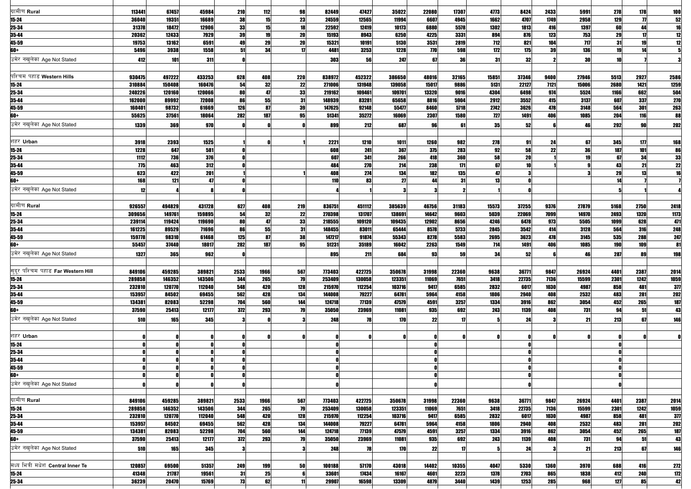| ग्रामीण Rural                     | 113441 | 67457  | 45984  | 210  | 112        | 98        | 82449  | 47427      | 35022  | 22080     | 17307      | 4773  | 8424  | 2433 | 5991  | 278             | 178                | <b>100</b>       |
|-----------------------------------|--------|--------|--------|------|------------|-----------|--------|------------|--------|-----------|------------|-------|-------|------|-------|-----------------|--------------------|------------------|
| $15 - 24$                         | 36040  | 19351  | 16689  | 38   | 15         | 23        | 24559  | 12565      | 11994  | 6607      | 4945       | 1662  | 4707  | 1749 | 2958  | 129             | $\overline{\bf n}$ | 52               |
| 25-34                             | 31378  | 18472  | 12906  | 33   | 15         | 18        | 22592  | 12419      | 10173  | 6880      | 5578       | 1302  | 1813  | 416  | 1397  | 60              | 44                 | 16               |
| 35-44                             | 20362  | 12433  | 7929   | 39   | 19         | 20        | 15193  | 8943       | 6250   | 4225      | 3331       | 894   | 876   | 123  | 753   | 29              | 17                 | $\overline{12}$  |
| 45-59                             | 19753  | 13162  | 6591   | 49   | 29         | <b>20</b> | 15321  | 10191      | 5130   | 3531      | 2819       | 712   | 821   | 104  | 117   | 31              | 19                 | $\overline{12}$  |
| 60+                               | 5496   | 3938   | 1558   | 51   | 34         | 17        | 4481   | 3253       | 1228   | 770       | 598        | 172   | 175   | 39   | 136   | 19              | 11                 |                  |
| उमेर नखलेका Age Not Stated        | 412    | 101    | 311    |      |            |           | 303    | 56         | 247    | 67        | 36         | 31    | 32    |      | 30    | 10 <sup>1</sup> |                    |                  |
|                                   |        |        |        |      |            |           |        |            |        |           |            |       |       |      |       |                 |                    |                  |
| पश्चिम पहाड Western Hills         | 930475 | 497222 | 433253 | 628  | 408        | 220       | 838972 | 452322     | 386650 | 48016     | 32165      | 15851 | 37346 | 9400 | 27946 | 5513            | 2927               | 2586             |
| $15 - 24$                         | 310884 | 150408 | 160476 | 54   | 32         | 22        | 271006 | 131948     | 139058 | 15017     | 9886       | 5131  | 22127 | 7121 | 15006 | 2680            | 1421               | 1259             |
| 25-34                             | 240226 | 120160 | 120066 | 80   | 47         | 33        | 219162 | 109461     | 109701 | 13320     | 9016       | 4304  | 6498  | 974  | 5524  | 1166            | 662                | 504              |
| 35-44                             | 162000 | 89992  | 72008  | 86   | 55         | 31        | 148939 | 83281      | 65658  | 8816      | 5904       | 2912  | 3552  | 415  | 3137  | 607             | 337                | 270              |
| 45-59                             | 160401 | 98732  | 61669  | 126  | 87         | 39        | 147625 | 92148      | 55477  | 8460      | 5718       | 2742  | 3626  | 478  | 3148  | 564             | 301                | 263              |
| 60+                               | 55625  | 37561  | 18064  | 282  | 187        | 95        | 51341  | 35272      | 16069  | 2307      | 1580       | 727   | 1491  | 406  | 1085  | 204             | 116                | 88               |
| उमेर नखलेका Age Not Stated        | 1339   | 369    | 970    |      |            |           | 899    | 212        | 687    | 96        | 61         | 35    | 52    |      | 46    | 292             | 90                 | 202              |
|                                   |        |        |        |      |            |           |        |            |        |           |            |       |       |      |       |                 |                    |                  |
|                                   |        |        |        |      |            |           |        |            |        |           |            |       |       |      |       |                 |                    |                  |
| शहर Urban                         | 3918   | 2393   | 1525   |      |            |           | 2221   | 1210       | 1011   | 1260      | 982        | 278   | 91    | 24   | 67    | 345             | 177                | 168              |
| $15 - 24$                         | 1228   | 647    | 581    |      |            |           | 608    | 241        | 367    | 375       | 283        | 92    | 58    | 22   | 36    | 187             | 101                | 86               |
| 25-34                             | 1112   | 736    | 376    |      |            |           | 607    | 341        | 266    | 418       | 360        | 58    | 20    |      | 19    | 67              | 34                 | 33               |
| 35-44                             | 775    | 463    | 312    |      |            |           | 484    | <b>270</b> | 214    | 238       | 171        | 67    | 10    |      |       | 43              | 21                 | 22               |
| 45-59                             | 623    | 422    | 201    |      |            |           | 408    | 274        | 134    | 182<br>44 | <b>135</b> | 47    |       |      |       | 29<br>14        | 13                 | 16               |
| 60+                               | 168    | 121    | 47     |      |            |           | 110    | 83         | 27     |           | 31         | 13    |       |      |       |                 |                    |                  |
| उमेर नखलेका Age Not Stated        | 12     |        |        |      |            |           |        |            |        |           | 2          |       |       |      |       |                 |                    |                  |
|                                   |        |        |        |      |            |           |        |            |        |           |            |       |       |      |       |                 |                    |                  |
| ग्रामीण Rural                     | 926557 | 494829 | 431728 | 627  | 408        | 219       | 836751 | 451112     | 385639 | 46756     | 31183      | 15573 | 37255 | 9376 | 27879 | 5168            | 2750               | 2418             |
| $15 - 24$                         | 309656 | 149761 | 159895 | 54   | 32         | 22        | 270398 | 131707     | 138691 | 14642     | 9603       | 5039  | 22069 | 7099 | 14970 | 2493            | 1320               | 1173             |
| 25-34                             | 239114 | 119424 | 119690 | 80   | 47         | 33        | 218555 | 109120     | 109435 | 12902     | 8656       | 4246  | 6478  | 973  | 5505  | 1099            | 628                | 471              |
| 35-44                             | 161225 | 89529  | 71696  | 86   | 55         | 31        | 148455 | 83011      | 65444  | 8578      | 5733       | 2845  | 3542  | 414  | 3128  | 564             | 316                | 248              |
| 45-59                             | 159778 | 98310  | 61468  | 125  | 87         | 38        | 147217 | 91874      | 55343  | 8278      | 5583       | 2695  | 3623  | 478  | 3145  | 535             | 288                | 247              |
| 60+                               | 55457  | 37440  | 18017  | 282  | 187        | 95        | 51231  | 35189      | 16042  | 2263      | 1549       | 714   | 1491  | 406  | 1085  | <b>190</b>      | 109                | 81               |
| उमेर नखलेका Age Not Stated        | 1327   | 365    | 962    |      |            |           | 895    | 211        | 684    | 93        | 59         | 34    | 52    |      | 46    | <b>287</b>      | 89                 | 198              |
|                                   |        |        |        |      |            |           |        |            |        |           |            |       |       |      |       |                 |                    |                  |
| सदर पश्चिम पहाड Far Western Hill  | 849106 | 459285 | 389821 | 2533 | 1966       | 567       | 773403 | 422725     | 350678 | 31998     | 22360      | 9638  | 36771 | 9847 | 26924 | 4401            | 2387               | 2014             |
| $15 - 24$                         | 289858 | 146352 | 143506 | 344  | 265        | 79        | 253409 | 130058     | 123351 | 11069     | 7651       | 3418  | 22735 | 7136 | 15599 | <b>2301</b>     | 1242               | 1059             |
| 25-34                             | 232810 | 120770 | 112040 | 548  | 420        | 128       | 215970 | 112254     | 103716 | 9417      | 6585       | 2832  | 6017  | 1030 | 4987  | 858             | 481                | 377              |
| 35-44                             | 153957 | 84502  | 69455  | 562  | 428        | 134       | 144008 | 79227      | 64781  | 5964      | 4158       | 1806  | 2940  | 408  | 2532  | 483             | 281                | <b>202</b>       |
| 45-59                             | 134381 | 82083  | 52298  | 704  | 560        | 144       | 124718 | 77139      | 47579  | 4591      | 3257       | 1334  | 3916  | 862  | 3054  | 452             | 265                | 187              |
| 60+                               | 37590  | 25413  | 12177  | 372  | 293        | 79        | 35050  | 23969      | 11081  | 935       | 692        | 243   | 1139  | 408  | 731   | 94              | 51                 | 43               |
| उमेर नखलेका Age Not Stated        | 510    | 165    | 345    |      |            |           | 248    | 78         | 170    | 22        | 17         |       | 24    |      | 21    | 213             | 67                 | <b>146</b>       |
|                                   |        |        |        |      |            |           |        |            |        |           |            |       |       |      |       |                 |                    |                  |
| शहर Urban                         |        |        |        |      |            |           |        |            | n      |           | n          |       |       |      |       |                 |                    |                  |
| $15 - 24$                         |        |        |        |      |            | O         |        |            |        |           |            |       |       |      |       |                 |                    |                  |
| 25-34                             |        |        |        |      |            |           |        |            |        |           |            |       |       |      |       |                 |                    |                  |
| 35-44                             |        |        |        |      |            |           |        |            |        |           |            |       |       |      |       |                 |                    |                  |
| 45-59                             |        |        |        |      |            |           |        |            |        |           |            |       |       |      |       |                 |                    |                  |
| 60+                               |        |        |        |      |            |           |        |            |        |           |            |       |       |      |       |                 |                    |                  |
| उमेर नखलेका Age Not Stated        |        |        |        |      |            |           |        |            |        |           |            |       |       |      |       |                 |                    |                  |
|                                   |        |        |        |      |            |           |        |            |        |           |            |       |       |      |       |                 |                    |                  |
|                                   |        |        |        |      |            |           |        |            |        |           |            |       |       |      |       |                 |                    |                  |
| ग्रामीण Rural                     | 849106 | 459285 | 389821 | 2533 | 1966       | 567       | 773403 | 422725     | 350678 | 31998     | 22360      | 9638  | 36771 | 9847 | 26924 | 4401            | 2387               | 2014             |
| $15 - 24$                         | 289858 | 146352 | 143506 | 344  | 265        | 79        | 253409 | 130058     | 123351 | 11069     | 7651       | 3418  | 22735 | 7136 | 15599 | <b>2301</b>     | 1242               | 1059             |
| 25-34                             | 232810 | 120770 | 112040 | 548  | 420        | 128       | 215970 | 112254     | 103716 | 9417      | 6585       | 2832  | 6017  | 1030 | 4987  | 858             | 481                | 377              |
| 35-44                             | 153957 | 84502  | 69455  | 562  | 428        | 134       | 144008 | 79227      | 64781  | 5964      | 4158       | 1806  | 2940  | 408  | 2532  | 483             | 281                | 202              |
| 45-59                             | 134381 | 82083  | 52298  | 704  | 560        | 144       | 124718 | 77139      | 47579  | 4591      | 3257       | 1334  | 3916  | 862  | 3054  | 452             | 265<br>51          | <b>187</b><br>43 |
| 60+                               | 37590  | 25413  | 12177  | 372  | 293        | 79        | 35050  | 23969      | 11081  | 935       | 692        | 243   | 1139  | 408  | 731   | 94              |                    |                  |
| उमेर नखलेका Age Not Stated        | 510    | 165    | 345    |      |            |           | 248    | 78         | 170    | 22        | 17         |       | 24    |      | 21    | 213             | 67                 | <b>146</b>       |
|                                   |        |        |        |      |            |           |        |            |        |           |            |       |       |      |       |                 |                    |                  |
| मध्य भित्री मधेश Central Inner Te | 120857 | 69500  | 51357  | 249  | <b>199</b> | 50        | 100188 | 57170      | 43018  | 14402     | 10355      | 4047  | 5330  | 1360 | 3970  | 688             | 416                | 272              |
| $15 - 24$                         | 41348  | 21787  | 19561  | 31   | 25         | 6         | 33601  | 17434      | 16167  | 4601      | 3223       | 1378  | 2703  | 865  | 1838  | 412             | <b>240</b>         | $172$            |
| 25-34                             | 36239  | 20470  | 15769  | 73   | 62         | 11        | 29907  | 16598      | 13309  | 4879      | 3440       | 1439  | 1253  | 285  | 968   | 127             | 85                 | 42               |
|                                   |        |        |        |      |            |           |        |            |        |           |            |       |       |      |       |                 |                    |                  |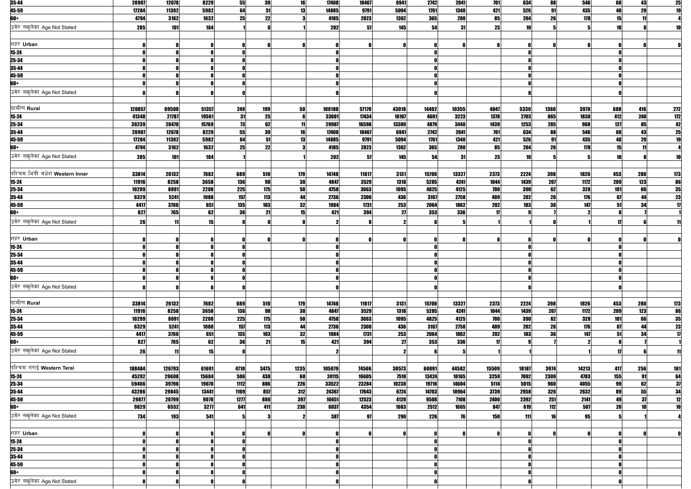| 35-44                                   | 20907  | 12678  | 8229  | 55        | 39   | 16   | 17408  | 10467 | 6941       | 2742       | 2041       | 701        | 634        | 88         | 546   | 68  | 43         | 25                       |
|-----------------------------------------|--------|--------|-------|-----------|------|------|--------|-------|------------|------------|------------|------------|------------|------------|-------|-----|------------|--------------------------|
| 45-59                                   | 17284  | 11302  | 5982  | 64        | 51   | 13   | 14885  | 9791  | 5094       | 1761       | 1340       | 421        | 526        | 91         | 435   | 48  | 29         | 19                       |
| 60+                                     | 4794   | 3162   | 1632  | 25        | 22   |      | 4185   | 2823  | 1362       | <b>365</b> | <b>280</b> | 85         | 204        | 26         | 178   | 15  |            |                          |
|                                         |        |        |       |           |      |      |        |       |            |            |            |            |            |            |       |     |            |                          |
| उमेर नखुलेका Age Not Stated             | 285    | 101    | 184   |           |      |      | 202    | 57    | 145        | 54         | 31         | 23         | 10         |            |       | 18  |            | 10                       |
|                                         |        |        |       |           |      |      |        |       |            |            |            |            |            |            |       |     |            |                          |
| शहर Urban                               |        |        |       |           |      | n    |        |       |            |            |            |            |            |            |       |     |            |                          |
|                                         |        |        |       |           |      |      |        |       |            |            |            |            |            |            |       |     |            |                          |
| $15 - 24$                               |        |        |       |           |      |      |        |       |            |            |            |            |            |            |       |     |            |                          |
| 25-34                                   |        |        |       |           |      |      |        |       |            |            |            |            |            |            |       |     |            |                          |
| 35-44                                   |        |        |       |           |      |      |        |       |            |            |            |            |            |            |       |     |            |                          |
| 45-59                                   |        |        |       |           |      |      |        |       |            |            |            |            |            |            |       |     |            |                          |
| 60+                                     |        |        |       |           |      |      |        |       |            |            |            |            |            |            |       |     |            |                          |
|                                         |        |        |       |           |      |      |        |       |            |            |            |            |            |            |       |     |            |                          |
| उमेर नखुलेका Age Not Stated             |        |        |       |           |      |      |        |       |            |            |            |            |            |            |       |     |            |                          |
|                                         |        |        |       |           |      |      |        |       |            |            |            |            |            |            |       |     |            |                          |
| ग्रामीण Rural                           | 120857 | 69500  | 51357 | 249       | 199  | 50   | 100188 | 57170 | 43018      | 14402      | 10355      | 4047       | 5330       | 1360       | 3970  | 688 | 416        | 272                      |
|                                         |        |        |       |           |      |      |        |       |            |            |            |            |            | 865        |       |     |            |                          |
| 15-24                                   | 41348  | 21787  | 19561 | 31        | 25   | 6    | 33601  | 17434 | 16167      | 4601       | 3223       | 1378       | 2703       |            | 1838  | 412 | 240        | 172                      |
| 25-34                                   | 36239  | 20470  | 15769 | 73        | 62   | 11   | 29907  | 16598 | 13309      | 4879       | 3440       | 1439       | 1253       | 285        | 968   | 127 | 85         | 42                       |
| 35-44                                   | 20907  | 12678  | 8229  | 55        | 39   | 16   | 17408  | 10467 | 6941       | 2742       | 2041       | 701        | 634        | 88         | 546   | 68  | 43         | 25                       |
| 45-59                                   | 17284  | 11302  | 5982  | 64        | 51   | 13   | 14885  | 9791  | 5094       | 1761       | 1340       | 421        | 526        | 91         | 435   | 48  | 29         | 19                       |
| 60+                                     | 4794   | 3162   | 1632  | 25        | 22   | 3    | 4185   | 2823  | 1362       | <b>365</b> | 280        | 85         | 204        | 26         | 178   | 15  |            |                          |
|                                         |        |        |       |           |      |      |        |       |            |            |            |            |            |            |       |     |            |                          |
| उमेर नखुलेका Age Not Stated             | 285    | 101    | 184   |           |      |      | 202    | 57    | 145        | 54         | 31         | 23         | 10         |            |       | 18  |            | 10                       |
|                                         |        |        |       |           |      |      |        |       |            |            |            |            |            |            |       |     |            |                          |
| पश्चिम भित्री मधेश <b>Western Inner</b> | 33814  | 26132  | 7682  | 689       | 510  | 179  | 14748  | 11617 | 3131       | 15700      | 13327      | 2373       | 2224       | 398        | 1826  | 453 | <b>280</b> | 173                      |
| $15 - 24$                               | 11916  | 8258   | 3658  | 136       | 98   | 38   | 4847   | 3529  | 1318       | 5285       | 4241       | 1044       | 1439       | 267        | 1172  | 209 | 123        | 86                       |
|                                         |        |        |       |           |      |      |        |       |            |            |            |            |            |            |       |     |            |                          |
| 25-34                                   | 10299  | 8091   | 2208  | 225       | 175  | 50   | 4758   | 3663  | 1095       | 4825       | 4125       | 700        | 390        | 62         | 328   | 101 | 66         | 35                       |
| 35-44                                   | 6329   | 5241   | 1088  | 157       | 113  | 44   | 2736   | 2300  | 436        | 3167       | 2758       | 409        | <b>202</b> | 26         | 176   | 67  | 44         | $\overline{\mathbf{23}}$ |
| 45-59                                   | 4417   | 3766   | 651   | 135       | 103  | 32   | 1984   | 1731  | 253        | 2064       | 1862       | 202        | 183        | 36         | 147   | 51  | 34         | $\mathbf{17}$            |
| 60+                                     | 827    | 765    | 62    | <b>36</b> | 21   | 15   | 421    | 394   | 27         | 353        | <b>336</b> | 17         |            |            |       |     |            |                          |
| उमेर नखुलेका Age Not Stated             |        |        |       |           |      |      |        |       |            |            |            |            |            |            |       |     |            |                          |
|                                         | 26     |        | 15    |           |      |      |        |       |            |            |            |            |            |            |       |     |            | 11                       |
|                                         |        |        |       |           |      |      |        |       |            |            |            |            |            |            |       |     |            |                          |
| शहर Urban                               |        |        |       |           |      | 0    |        |       |            |            |            |            |            |            |       |     |            |                          |
| $15 - 24$                               |        |        |       |           |      |      |        |       |            |            |            |            |            |            |       |     |            |                          |
| 25-34                                   |        |        |       |           |      |      |        |       |            |            |            |            |            |            |       |     |            |                          |
|                                         |        |        |       |           |      |      |        |       |            |            |            |            |            |            |       |     |            |                          |
| $35 - 44$                               |        |        |       |           |      |      |        |       |            |            |            |            |            |            |       |     |            |                          |
| 45-59                                   |        |        |       |           |      |      |        |       |            |            |            |            |            |            |       |     |            |                          |
| 60+                                     |        |        |       |           |      |      |        |       |            |            |            |            |            |            |       |     |            |                          |
| उमेर नखुलेका Age Not Stated             |        |        |       |           |      |      |        |       |            |            |            |            |            |            |       |     |            |                          |
|                                         |        |        |       |           |      |      |        |       |            |            |            |            |            |            |       |     |            |                          |
|                                         |        |        |       |           |      |      |        |       |            |            |            |            |            |            |       |     |            |                          |
| ग्रामीण Rural                           | 33814  | 26132  | 7682  | 689       | 510  | 179  | 14748  | 11617 | 3131       | 15700      | 13327      | 2373       | 2224       | <b>398</b> | 1826  | 453 | <b>280</b> | 173                      |
| $15 - 24$                               | 11916  | 8258   | 3658  | 136       | 98   | 38   | 4847   | 3529  | 1318       | 5285       | 4241       | 1044       | 1439       | 267        | 1172  | 209 | 123        | 86                       |
| 25-34                                   | 10299  | 8091   | 2208  | 225       | 175  | 50   | 4758   | 3663  | 1095       | 4825       | 4125       | 700        | 390        | 62         | 328   | 101 | 66         |                          |
|                                         | 6329   | 5241   |       |           |      | 44   |        |       |            | 3167       | 2758       |            | 202        | 26         | 176   | 67  |            | $\frac{35}{2}$           |
| 35-44                                   |        |        | 1088  | 157       | 113  |      | 2736   | 2300  | 436        |            |            | 409        |            |            |       |     | 44         | $\frac{23}{2}$           |
| 45-59                                   | 4417   | 3766   | 651   | 135       | 103  | 32   | 1984   | 1731  | 253        | 2064       | 1862       | 202        | 183        | 36         | 147   | 51  | 34         | $\mathbf{17}$            |
| 60+                                     | 827    | 765    | 62    | 36        | 21   | 15   | 421    | 394   | 27         | 353        | <b>336</b> | 17         |            |            |       |     |            |                          |
| उमेर नखुलेका Age Not Stated             | 26     |        | 15    |           |      |      |        |       |            |            |            |            |            |            |       |     |            | 11                       |
|                                         |        |        |       |           |      |      |        |       |            |            |            |            |            |            |       |     |            |                          |
|                                         |        |        |       |           |      |      |        |       |            |            |            |            |            |            |       |     |            |                          |
| पश्चिम तराई Western Terai               | 188484 | 126793 | 61691 | 4710      | 3475 | 1235 | 105079 | 74506 | 30573      | 60091      | 44582      | 15509      | 18187      | 3974       | 14213 | 417 | 256        | 161                      |
| $15 - 24$                               | 45292  | 29608  | 15684 | 506       | 438  | 68   | 24115  | 16605 | 7510       | 13424      | 10165      | 3259       | 7092       | 2309       | 4783  | 155 | 91         | 64                       |
| 25-34                                   | 59466  | 39796  | 19670 | 1112      | 886  | 226  | 33522  | 23284 | 10238      | 19718      | 14604      | 5114       | 5015       | 960        | 4055  | 99  | 62         | 37                       |
| 35-44                                   | 43286  | 29845  | 13441 | 1169      | 857  | 312  | 24367  | 17643 | 6724       | 14703      | 10964      | 3739       | 2958       | 326        | 2632  | 89  | 55         | 34                       |
|                                         |        |        |       |           | 880  | 397  |        |       |            |            |            |            |            | 251        |       |     | 37         |                          |
| 45-59                                   | 29877  | 20799  | 9078  | 1277      |      |      | 16651  | 12523 | 4128       | 9508       | 7108       | 2400       | 2392       |            | 2141  | 49  |            | 12                       |
| 60+                                     | 9829   | 6552   | 3277  | 641       | 411  | 230  | 6037   | 4354  | 1683       | 2512       | 1665       | 847        | 619        | 112        | 507   | 20  | 10         | 10                       |
| उमेर नखुलेका Age Not Stated             | 734    | 193    | 541   |           |      |      | 387    | 97    | <b>290</b> | 226        | 76         | <b>150</b> | 111        | 16         | 95    |     |            |                          |
|                                         |        |        |       |           |      |      |        |       |            |            |            |            |            |            |       |     |            |                          |
|                                         |        |        |       |           |      |      |        |       |            |            |            |            |            |            |       |     |            |                          |
| शहर Urban                               |        |        |       |           |      | 0    |        |       |            |            |            |            |            |            |       |     |            |                          |
| $15 - 24$                               |        |        |       |           |      |      |        |       |            |            |            |            |            |            |       |     |            |                          |
| 25-34                                   |        |        |       |           |      |      |        |       |            |            |            |            |            |            |       |     |            |                          |
| 35-44                                   |        |        |       |           |      |      |        |       |            |            |            |            |            |            |       |     |            |                          |
|                                         |        |        |       |           |      |      |        |       |            |            |            |            |            |            |       |     |            |                          |
| 45-59                                   |        |        |       |           |      |      |        |       |            |            |            |            |            |            |       |     |            |                          |
| 60+                                     |        |        |       |           |      |      |        |       |            |            |            |            |            |            |       |     |            |                          |
| उमेर नखुलेका Age Not Stated             |        |        |       |           |      |      |        |       |            |            |            |            |            |            |       |     |            |                          |
|                                         |        |        |       |           |      |      |        |       |            |            |            |            |            |            |       |     |            |                          |